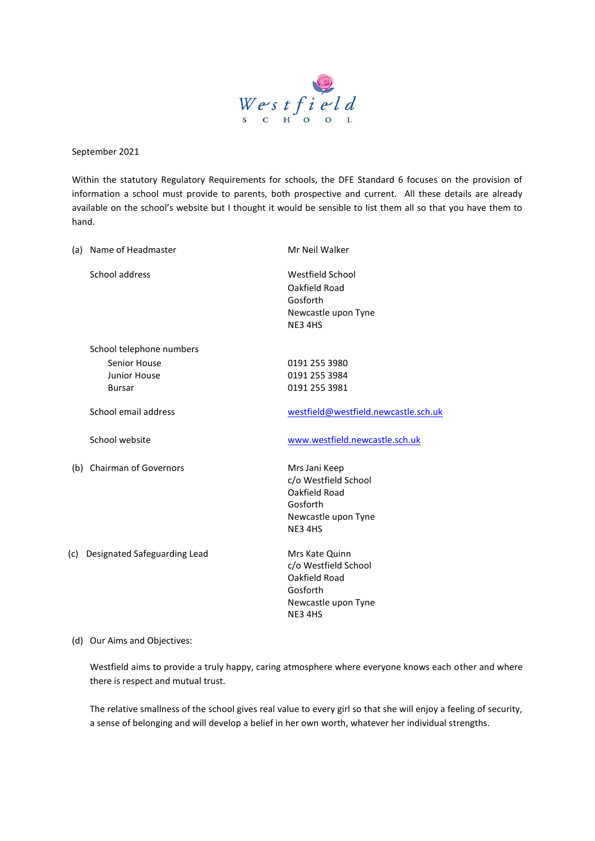

September 2021

Within the statutory Regulatory Requirements for schools, the DFE Standard 6 focuses on the provision of information a school must provide to parents, both prospective and current. All these details are already available on the school's website but I thought it would be sensible to list them all so that you have them to hand.

|     | (a) Name of Headmaster                               | Mr Neil Walker                                                                                      |
|-----|------------------------------------------------------|-----------------------------------------------------------------------------------------------------|
|     | School address                                       | Westfield School<br>Oakfield Road<br>Gosforth<br>Newcastle upon Tyne<br>NE34HS                      |
|     | School telephone numbers                             |                                                                                                     |
|     | Senior House<br><b>Junior House</b><br><b>Bursar</b> | 0191 255 3980<br>0191 255 3984<br>0191 255 3981                                                     |
|     | School email address                                 | westfield@westfield.newcastle.sch.uk                                                                |
|     | School website                                       | www.westfield.newcastle.sch.uk                                                                      |
|     | (b) Chairman of Governors                            | Mrs Jani Keep<br>c/o Westfield School<br>Oakfield Road<br>Gosforth<br>Newcastle upon Tyne<br>NE34HS |
| (c) | Designated Safeguarding Lead                         | Mrs Kate Quinn<br>c/o Westfield School<br>Oakfield Road<br>Gosforth<br>Newcastle upon Tyne          |

## (d) Our Aims and Objectives:

Westfield aims to provide a truly happy, caring atmosphere where everyone knows each other and where there is respect and mutual trust.

NE3 4HS

The relative smallness of the school gives real value to every girl so that she will enjoy a feeling of security, a sense of belonging and will develop a belief in her own worth, whatever her individual strengths.